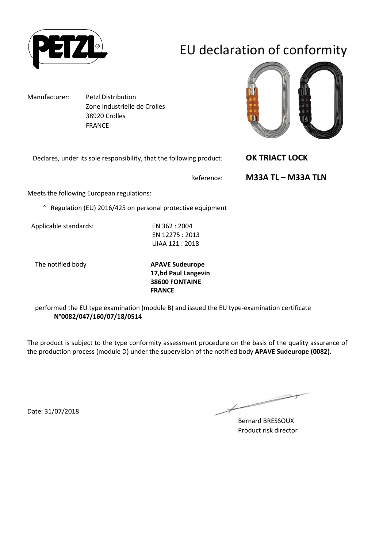

# EU declaration of conformity

Manufacturer: Petzl Distribution Zone Industrielle de Crolles 38920 Crolles FRANCE

Declares, under its sole responsibility, that the following product: **OK TRIACT LOCK** 



Reference: **M33A TL – M33A TLN**

Meets the following European regulations:

° Regulation (EU) 2016/425 on personal protective equipment

Applicable standards: EN 362 : 2004

EN 12275 : 2013 UIAA 121 : 2018

The notified body **APAVE Sudeurope 17,bd Paul Langevin 38600 FONTAINE FRANCE**

performed the EU type examination (module B) and issued the EU type-examination certificate **N°0082/047/160/07/18/0514**

The product is subject to the type conformity assessment procedure on the basis of the quality assurance of the production process (module D) under the supervision of the notified body **APAVE Sudeurope (0082).**

Date: 31/07/2018

 $\overline{\phantom{1}}$ 

Bernard BRESSOUX Product risk director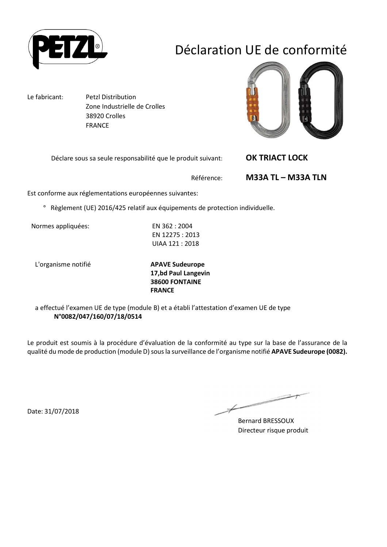

## Déclaration UE de conformité

Le fabricant: Petzl Distribution Zone Industrielle de Crolles 38920 Crolles FRANCE

Déclare sous sa seule responsabilité que le produit suivant: **OK TRIACT LOCK** 



Référence: **M33A TL – M33A TLN**

Est conforme aux réglementations européennes suivantes:

° Règlement (UE) 2016/425 relatif aux équipements de protection individuelle.

Normes appliquées: EN 362 : 2004

EN 12275 : 2013 UIAA 121 : 2018

L'organisme notifié **APAVE Sudeurope**

**17,bd Paul Langevin 38600 FONTAINE FRANCE**

a effectué l'examen UE de type (module B) et a établi l'attestation d'examen UE de type **N°0082/047/160/07/18/0514**

Le produit est soumis à la procédure d'évaluation de la conformité au type sur la base de l'assurance de la qualité du mode de production (module D) sous la surveillance de l'organisme notifié **APAVE Sudeurope (0082).**

Date: 31/07/2018

 $\overline{\phantom{0}}$ 

Bernard BRESSOUX Directeur risque produit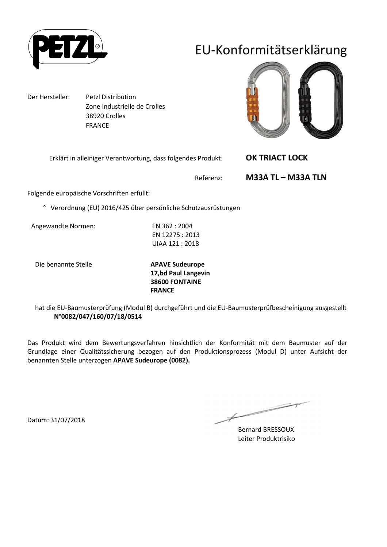

## EU-Konformitätserklärung

Der Hersteller: Petzl Distribution Zone Industrielle de Crolles 38920 Crolles FRANCE

Erklärt in alleiniger Verantwortung, dass folgendes Produkt: **OK TRIACT LOCK** 



Referenz: **M33A TL – M33A TLN**

Folgende europäische Vorschriften erfüllt:

° Verordnung (EU) 2016/425 über persönliche Schutzausrüstungen

Angewandte Normen: EN 362 : 2004

EN 12275 : 2013 UIAA 121 : 2018

Die benannte Stelle **APAVE Sudeurope**

**17,bd Paul Langevin 38600 FONTAINE FRANCE**

hat die EU-Baumusterprüfung (Modul B) durchgeführt und die EU-Baumusterprüfbescheinigung ausgestellt **N°0082/047/160/07/18/0514**

Das Produkt wird dem Bewertungsverfahren hinsichtlich der Konformität mit dem Baumuster auf der Grundlage einer Qualitätssicherung bezogen auf den Produktionsprozess (Modul D) unter Aufsicht der benannten Stelle unterzogen **APAVE Sudeurope (0082).**

Bernard BRESSOUX Leiter Produktrisiko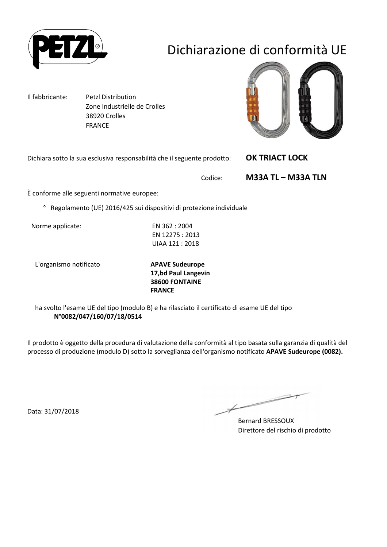

## Dichiarazione di conformità UE

Il fabbricante: Petzl Distribution Zone Industrielle de Crolles 38920 Crolles FRANCE

Dichiara sotto la sua esclusiva responsabilità che il seguente prodotto: **OK TRIACT LOCK** 



Codice: **M33A TL – M33A TLN**

È conforme alle seguenti normative europee:

° Regolamento (UE) 2016/425 sui dispositivi di protezione individuale

Norme applicate: EN 362 : 2004

EN 12275 : 2013 UIAA 121 : 2018

L'organismo notificato **APAVE Sudeurope**

**17,bd Paul Langevin 38600 FONTAINE FRANCE**

ha svolto l'esame UE del tipo (modulo B) e ha rilasciato il certificato di esame UE del tipo **N°0082/047/160/07/18/0514**

Il prodotto è oggetto della procedura di valutazione della conformità al tipo basata sulla garanzia di qualità del processo di produzione (modulo D) sotto la sorveglianza dell'organismo notificato **APAVE Sudeurope (0082).**

Data: 31/07/2018

 $\overline{\phantom{1}}$ 

Bernard BRESSOUX Direttore del rischio di prodotto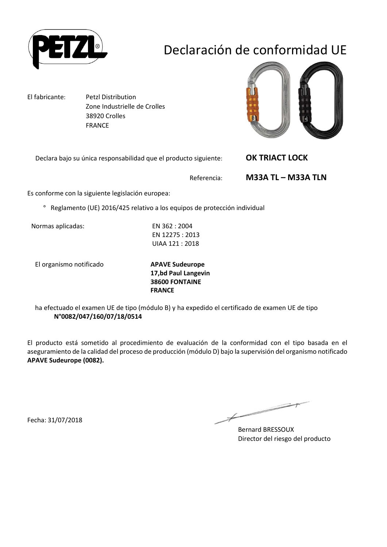

## Declaración de conformidad UE

El fabricante: Petzl Distribution Zone Industrielle de Crolles 38920 Crolles FRANCE

Declara bajo su única responsabilidad que el producto siguiente: **OK TRIACT LOCK** 



Referencia: **M33A TL – M33A TLN**

Es conforme con la siguiente legislación europea:

° Reglamento (UE) 2016/425 relativo a los equipos de protección individual

Normas aplicadas: EN 362 : 2004

EN 12275 : 2013 UIAA 121 : 2018

El organismo notificado **APAVE Sudeurope**

**17,bd Paul Langevin 38600 FONTAINE FRANCE**

ha efectuado el examen UE de tipo (módulo B) y ha expedido el certificado de examen UE de tipo **N°0082/047/160/07/18/0514**

El producto está sometido al procedimiento de evaluación de la conformidad con el tipo basada en el aseguramiento de la calidad del proceso de producción (módulo D) bajo la supervisión del organismo notificado **APAVE Sudeurope (0082).**

Fecha: 31/07/2018

Bernard BRESSOUX Director del riesgo del producto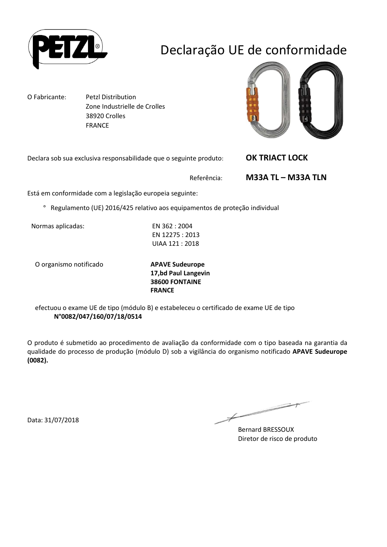

## Declaração UE de conformidade

O Fabricante: Petzl Distribution Zone Industrielle de Crolles 38920 Crolles FRANCE

Declara sob sua exclusiva responsabilidade que o seguinte produto: **OK TRIACT LOCK** 

Referência: **M33A TL – M33A TLN**

Está em conformidade com a legislação europeia seguinte:

° Regulamento (UE) 2016/425 relativo aos equipamentos de proteção individual

Normas aplicadas: EN 362 : 2004

EN 12275 : 2013 UIAA 121 : 2018

O organismo notificado **APAVE Sudeurope**

**17,bd Paul Langevin 38600 FONTAINE FRANCE**

efectuou o exame UE de tipo (módulo B) e estabeleceu o certificado de exame UE de tipo **N°0082/047/160/07/18/0514**

O produto é submetido ao procedimento de avaliação da conformidade com o tipo baseada na garantia da qualidade do processo de produção (módulo D) sob a vigilância do organismo notificado **APAVE Sudeurope (0082).**

Data: 31/07/2018

Bernard BRESSOUX Diretor de risco de produto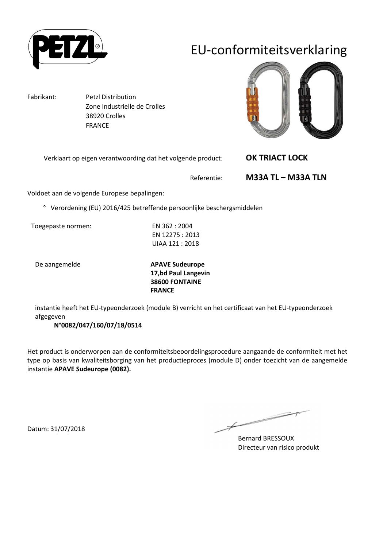

## EU-conformiteitsverklaring

Fabrikant: Petzl Distribution

 Zone Industrielle de Crolles 38920 Crolles FRANCE

Verklaart op eigen verantwoording dat het volgende product: **OK TRIACT LOCK** 



Referentie: **M33A TL – M33A TLN**

Voldoet aan de volgende Europese bepalingen:

° Verordening (EU) 2016/425 betreffende persoonlijke beschergsmiddelen

Toegepaste normen: EN 362 : 2004

EN 12275 : 2013 UIAA 121 : 2018

De aangemelde **APAVE Sudeurope 17,bd Paul Langevin 38600 FONTAINE FRANCE**

instantie heeft het EU-typeonderzoek (module B) verricht en het certificaat van het EU-typeonderzoek afgegeven

**N°0082/047/160/07/18/0514**

Het product is onderworpen aan de conformiteitsbeoordelingsprocedure aangaande de conformiteit met het type op basis van kwaliteitsborging van het productieproces (module D) onder toezicht van de aangemelde instantie **APAVE Sudeurope (0082).**

Bernard BRESSOUX Directeur van risico produkt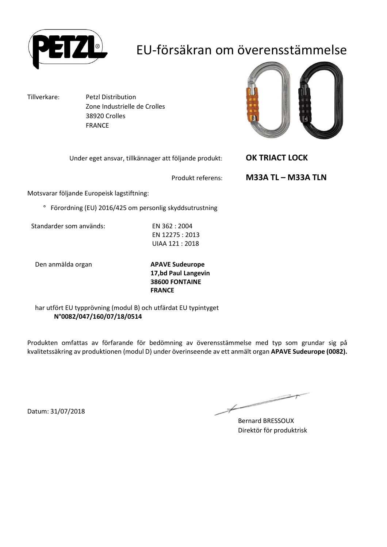

## EU-försäkran om överensstämmelse

Tillverkare: Petzl Distribution Zone Industrielle de Crolles 38920 Crolles FRANCE



Under eget ansvar, tillkännager att följande produkt: **OK TRIACT LOCK** 

Produkt referens: **M33A TL – M33A TLN**

Motsvarar följande Europeisk lagstiftning:

° Förordning (EU) 2016/425 om personlig skyddsutrustning

Standarder som används: EN 362 : 2004

EN 12275 : 2013 UIAA 121 : 2018

Den anmälda organ **APAVE Sudeurope**

**17,bd Paul Langevin 38600 FONTAINE FRANCE**

har utfört EU typprövning (modul B) och utfärdat EU typintyget **N°0082/047/160/07/18/0514**

Produkten omfattas av förfarande för bedömning av överensstämmelse med typ som grundar sig på kvalitetssäkring av produktionen (modul D) under överinseende av ett anmält organ **APAVE Sudeurope (0082).**

Datum: 31/07/2018

 $\overline{\phantom{a}}$ 

Bernard BRESSOUX Direktör för produktrisk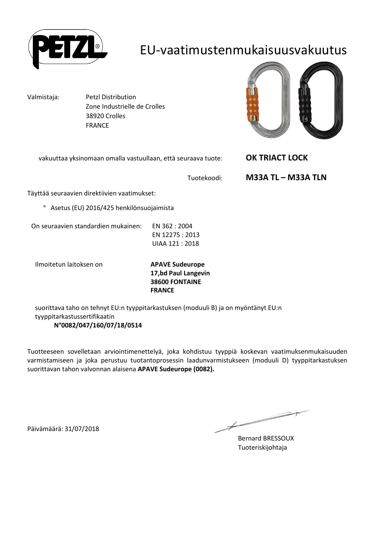

### EU-vaatimustenmukaisuusvakuutus

Valmistaja: Petzl Distribution Zone Industrielle de Crolles 38920 Crolles FRANCE



vakuuttaa yksinomaan omalla vastuullaan, että seuraava tuote: **OK TRIACT LOCK** 

Tuotekoodi: **M33A TL – M33A TLN**

Täyttää seuraavien direktiivien vaatimukset:

° Asetus (EU) 2016/425 henkilönsuojaimista

On seuraavien standardien mukainen: EN 362 : 2004

EN 12275 : 2013 UIAA 121 : 2018

Ilmoitetun laitoksen on **APAVE Sudeurope**

**17,bd Paul Langevin 38600 FONTAINE FRANCE**

suorittava taho on tehnyt EU:n tyyppitarkastuksen (moduuli B) ja on myöntänyt EU:n tyyppitarkastussertifikaatin **N°0082/047/160/07/18/0514**

Tuotteeseen sovelletaan arviointimenettelyä, joka kohdistuu tyyppiä koskevan vaatimuksenmukaisuuden varmistamiseen ja joka perustuu tuotantoprosessin laadunvarmistukseen (moduuli D) tyyppitarkastuksen suorittavan tahon valvonnan alaisena **APAVE Sudeurope (0082).**

Päivämäärä: 31/07/2018

Bernard BRESSOUX Tuoteriskijohtaja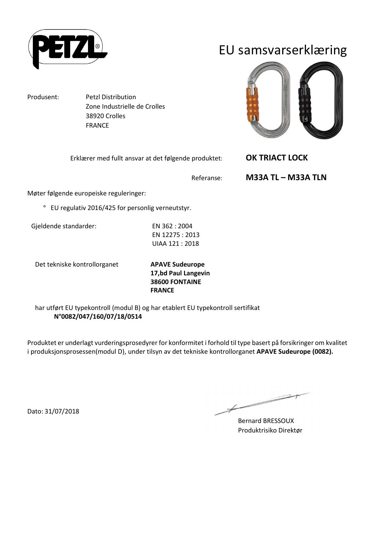

Produsent: Petzl Distribution

EU samsvarserklæring

Erklærer med fullt ansvar at det følgende produktet: **OK TRIACT LOCK** 

Referanse: **M33A TL – M33A TLN**

Møter følgende europeiske reguleringer:

° EU regulativ 2016/425 for personlig verneutstyr.

Zone Industrielle de Crolles

 38920 Crolles FRANCE

Gjeldende standarder: EN 362 : 2004

EN 12275 : 2013 UIAA 121 : 2018

Det tekniske kontrollorganet **APAVE Sudeurope**

**17,bd Paul Langevin 38600 FONTAINE FRANCE**

har utført EU typekontroll (modul B) og har etablert EU typekontroll sertifikat **N°0082/047/160/07/18/0514**

Produktet er underlagt vurderingsprosedyrer for konformitet i forhold til type basert på forsikringer om kvalitet i produksjonsprosessen(modul D), under tilsyn av det tekniske kontrollorganet **APAVE Sudeurope (0082).**

Dato: 31/07/2018

 $\overline{\phantom{1}}$ 

Bernard BRESSOUX Produktrisiko Direktør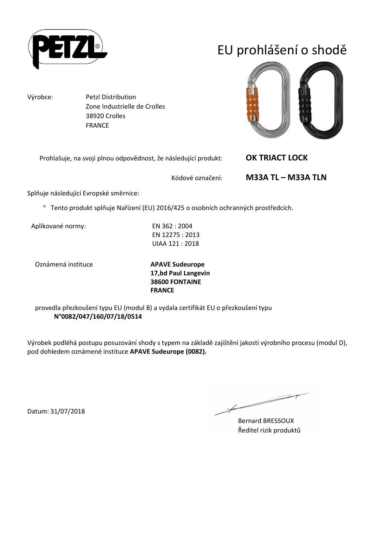

# EU prohlášení o shodě

Výrobce: Petzl Distribution Zone Industrielle de Crolles 38920 Crolles FRANCE

Prohlašuje, na svoji plnou odpovědnost, že následující produkt: **OK TRIACT LOCK** 



Kódové označení: **M33A TL – M33A TLN**

Splňuje následující Evropské směrnice:

° Tento produkt splňuje Nařízení (EU) 2016/425 o osobních ochranných prostředcích.

Aplikované normy: EN 362 : 2004

EN 12275 : 2013 UIAA 121 : 2018

Oznámená instituce **APAVE Sudeurope**

**17,bd Paul Langevin 38600 FONTAINE FRANCE**

provedla přezkoušení typu EU (modul B) a vydala certifikát EU o přezkoušení typu **N°0082/047/160/07/18/0514**

Výrobek podléhá postupu posuzování shody s typem na základě zajištění jakosti výrobního procesu (modul D), pod dohledem oznámené instituce **APAVE Sudeurope (0082).**

 $\overline{\phantom{a}}$ 

Bernard BRESSOUX Ředitel rizik produktů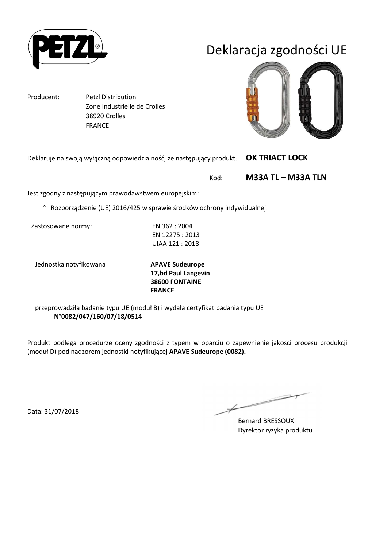

## Deklaracja zgodności UE

Producent: Petzl Distribution

 Zone Industrielle de Crolles 38920 Crolles FRANCE

Deklaruje na swoją wyłączną odpowiedzialność, że następujący produkt: **OK TRIACT LOCK** 

Kod: **M33A TL – M33A TLN**

Jest zgodny z następującym prawodawstwem europejskim:

° Rozporządzenie (UE) 2016/425 w sprawie środków ochrony indywidualnej.

Zastosowane normy: EN 362 : 2004

EN 12275 : 2013 UIAA 121 : 2018

Jednostka notyfikowana **APAVE Sudeurope**

**17,bd Paul Langevin 38600 FONTAINE FRANCE**

przeprowadziła badanie typu UE (moduł B) i wydała certyfikat badania typu UE **N°0082/047/160/07/18/0514**

Produkt podlega procedurze oceny zgodności z typem w oparciu o zapewnienie jakości procesu produkcji (moduł D) pod nadzorem jednostki notyfikującej **APAVE Sudeurope (0082).**

Data: 31/07/2018

 $\overline{\phantom{0}}$ 

Bernard BRESSOUX Dyrektor ryzyka produktu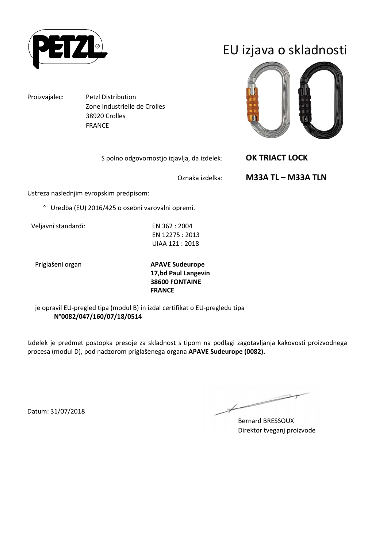

Proizvajalec: Petzl Distribution Zone Industrielle de Crolles 38920 Crolles FRANCE

S polno odgovornostjo izjavlja, da izdelek: **OK TRIACT LOCK** 

# EU izjava o skladnosti



Oznaka izdelka: **M33A TL – M33A TLN**

Ustreza naslednjim evropskim predpisom:

° Uredba (EU) 2016/425 o osebni varovalni opremi.

Veljavni standardi: EN 362 : 2004

EN 12275 : 2013 UIAA 121 : 2018

Priglašeni organ **APAVE Sudeurope 17,bd Paul Langevin 38600 FONTAINE FRANCE**

je opravil EU-pregled tipa (modul B) in izdal certifikat o EU-pregledu tipa **N°0082/047/160/07/18/0514**

Izdelek je predmet postopka presoje za skladnost s tipom na podlagi zagotavljanja kakovosti proizvodnega procesa (modul D), pod nadzorom priglašenega organa **APAVE Sudeurope (0082).**

 $\overline{\phantom{a}}$ 

Bernard BRESSOUX Direktor tveganj proizvode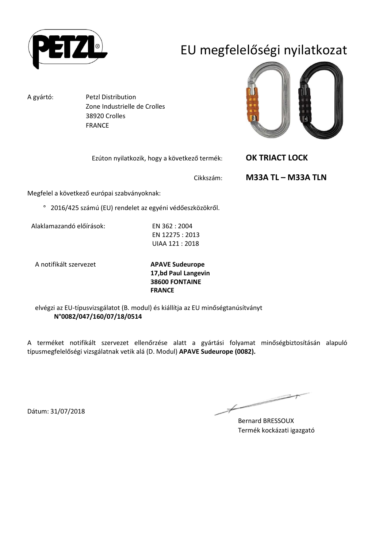

# EU megfelelőségi nyilatkozat

A gyártó: Petzl Distribution Zone Industrielle de Crolles 38920 Crolles FRANCE



Ezúton nyilatkozik, hogy a következő termék: **OK TRIACT LOCK** 

Cikkszám: **M33A TL – M33A TLN**

Megfelel a következő európai szabványoknak:

° 2016/425 számú (EU) rendelet az egyéni védőeszközökről.

Alaklamazandó előírások: EN 362 : 2004

EN 12275 : 2013 UIAA 121 : 2018

A notifikált szervezet **APAVE Sudeurope**

**17,bd Paul Langevin 38600 FONTAINE FRANCE**

elvégzi az EU-típusvizsgálatot (B. modul) és kiállítja az EU minőségtanúsítványt **N°0082/047/160/07/18/0514**

A terméket notifikált szervezet ellenőrzése alatt a gyártási folyamat minőségbiztosításán alapuló típusmegfelelőségi vizsgálatnak vetik alá (D. Modul) **APAVE Sudeurope (0082).**

 $\overline{\phantom{a}}$ 

Bernard BRESSOUX Termék kockázati igazgató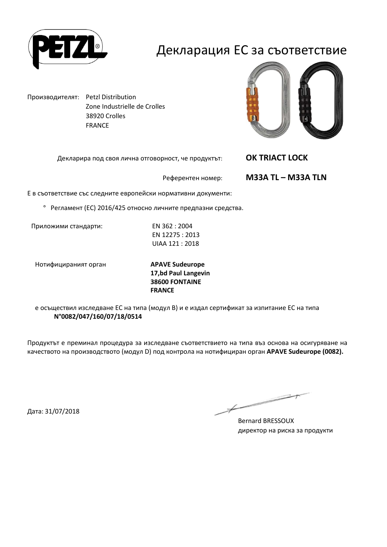

### Декларация ЕС за съответствие

Производителят: Petzl Distribution Zone Industrielle de Crolles 38920 Crolles FRANCE

Декларира под своя лична отговорност, че продуктът: **OK TRIACT LOCK** 



Референтен номер: **M33A TL – M33A TLN**

Е в съответствие със следните европейски нормативни документи:

° Регламент (ЕС) 2016/425 относно личните предпазни средства.

Приложими стандарти: EN 362 : 2004

EN 12275 : 2013 UIAA 121 : 2018

Нотифицираният орган **APAVE Sudeurope**

**17,bd Paul Langevin 38600 FONTAINE FRANCE**

е осъществил изследване ЕС на типа (модул В) и е издал сертификат за изпитание ЕС на типа **N°0082/047/160/07/18/0514**

Продуктът е преминал процедура за изследване съответствието на типа въз основа на осигуряване на качеството на производството (модул D) под контрола на нотифициран орган **APAVE Sudeurope (0082).**

Дата: 31/07/2018

 $\overline{\phantom{1}}$ 

Bernard BRESSOUX директор на риска за продукти